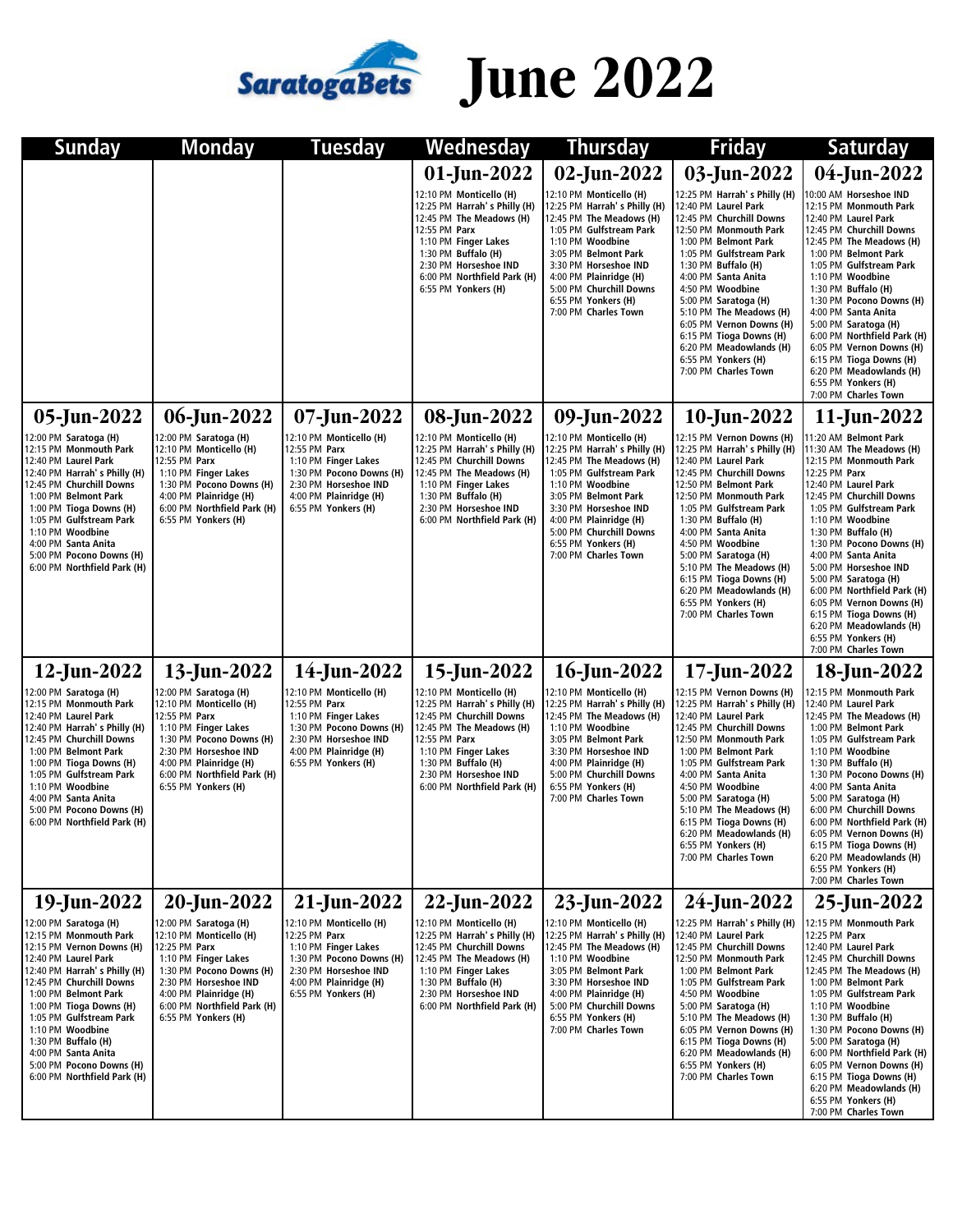

## SaratogaBets June 2022

| Sunday                                                                                                                                                                                                                                                                                                                                                                      | <b>Monday</b>                                                                                                                                                                                                                  | Tuesday                                                                                                                                                                | Wednesday                                                                                                                                                                                                                               | <b>Thursday</b>                                                                                                                                                                                                                                                                         | <b>Friday</b>                                                                                                                                                                                                                                                                                                                                                                                                         | <b>Saturday</b>                                                                                                                                                                                                                                                                                                                                                                                                                                                                            |
|-----------------------------------------------------------------------------------------------------------------------------------------------------------------------------------------------------------------------------------------------------------------------------------------------------------------------------------------------------------------------------|--------------------------------------------------------------------------------------------------------------------------------------------------------------------------------------------------------------------------------|------------------------------------------------------------------------------------------------------------------------------------------------------------------------|-----------------------------------------------------------------------------------------------------------------------------------------------------------------------------------------------------------------------------------------|-----------------------------------------------------------------------------------------------------------------------------------------------------------------------------------------------------------------------------------------------------------------------------------------|-----------------------------------------------------------------------------------------------------------------------------------------------------------------------------------------------------------------------------------------------------------------------------------------------------------------------------------------------------------------------------------------------------------------------|--------------------------------------------------------------------------------------------------------------------------------------------------------------------------------------------------------------------------------------------------------------------------------------------------------------------------------------------------------------------------------------------------------------------------------------------------------------------------------------------|
|                                                                                                                                                                                                                                                                                                                                                                             |                                                                                                                                                                                                                                |                                                                                                                                                                        | 01-Jun-2022                                                                                                                                                                                                                             | 02-Jun-2022                                                                                                                                                                                                                                                                             | 03-Jun-2022                                                                                                                                                                                                                                                                                                                                                                                                           | 04-Jun-2022                                                                                                                                                                                                                                                                                                                                                                                                                                                                                |
|                                                                                                                                                                                                                                                                                                                                                                             |                                                                                                                                                                                                                                |                                                                                                                                                                        | 12:10 PM Monticello (H)<br>12:25 PM Harrah's Philly (H)<br>12:45 PM The Meadows (H)<br>12:55 PM Parx<br>1:10 PM Finger Lakes<br>1:30 PM Buffalo (H)<br>2:30 PM Horseshoe IND<br>6:00 PM Northfield Park (H)<br>6:55 PM Yonkers (H)      | 12:10 PM Monticello (H)<br>12:25 PM Harrah's Philly (H)<br>12:45 PM The Meadows (H)<br>1:05 PM Gulfstream Park<br>1:10 PM Woodbine<br>3:05 PM Belmont Park<br>3:30 PM Horseshoe IND<br>4:00 PM Plainridge (H)<br>5:00 PM Churchill Downs<br>6:55 PM Yonkers (H)<br>7:00 PM Charles Town | 12:25 PM Harrah's Philly (H)<br>12:40 PM Laurel Park<br>12:45 PM Churchill Downs<br>12:50 PM Monmouth Park<br>1:00 PM Belmont Park<br>1:05 PM Gulfstream Park<br>1:30 PM Buffalo (H)<br>4:00 PM Santa Anita<br>4:50 PM Woodbine<br>5:00 PM Saratoga (H)<br>5:10 PM The Meadows (H)<br>6:05 PM Vernon Downs (H)<br>6:15 PM Tioga Downs (H)<br>6:20 PM Meadowlands (H)<br>6:55 PM Yonkers (H)<br>7:00 PM Charles Town   | 10:00 AM Horseshoe IND<br>12:15 PM Monmouth Park<br>12:40 PM Laurel Park<br>12:45 PM Churchill Downs<br>12:45 PM The Meadows (H)<br>1:00 PM Belmont Park<br>1:05 PM Gulfstream Park<br>1:10 PM Woodbine<br>1:30 PM Buffalo (H)<br>1:30 PM Pocono Downs (H)<br>4:00 PM Santa Anita<br>5:00 PM Saratoga (H)<br>6:00 PM Northfield Park (H)<br>6:05 PM Vernon Downs (H)<br>6:15 PM Tioga Downs (H)<br>6:20 PM Meadowlands (H)<br>6:55 PM Yonkers (H)<br>7:00 PM Charles Town                  |
| 05-Jun-2022                                                                                                                                                                                                                                                                                                                                                                 | 06-Jun-2022                                                                                                                                                                                                                    | 07-Jun-2022                                                                                                                                                            | 08-Jun-2022                                                                                                                                                                                                                             | 09-Jun-2022                                                                                                                                                                                                                                                                             | 10-Jun-2022                                                                                                                                                                                                                                                                                                                                                                                                           | 11-Jun-2022                                                                                                                                                                                                                                                                                                                                                                                                                                                                                |
| 2:00 PM Saratoga (H)<br>12:15 PM Monmouth Park<br>12:40 PM Laurel Park<br>12:40 PM Harrah's Philly (H)<br>12:45 PM Churchill Downs<br>1:00 PM Belmont Park<br>1:00 PM Tioga Downs (H)<br>1:05 PM Gulfstream Park<br>1:10 PM Woodbine<br>4:00 PM Santa Anita<br>5:00 PM Pocono Downs (H)<br>6:00 PM Northfield Park (H)                                                      | 12:00 PM Saratoga (H)<br>12:10 PM Monticello (H)<br>12:55 PM Parx<br>1:10 PM Finger Lakes<br>1:30 PM Pocono Downs (H)<br>4:00 PM Plainridge (H)<br>6:00 PM Northfield Park (H)<br>6:55 PM Yonkers (H)                          | 12:10 PM Monticello (H)<br>12:55 PM Parx<br>1:10 PM Finger Lakes<br>1:30 PM Pocono Downs (H)<br>2:30 PM Horseshoe IND<br>4:00 PM Plainridge (H)<br>6:55 PM Yonkers (H) | 12:10 PM Monticello (H)<br>12:25 PM Harrah's Philly (H)<br>12:45 PM Churchill Downs<br>12:45 PM The Meadows (H)<br>1:10 PM Finger Lakes<br>1:30 PM Buffalo (H)<br>2:30 PM Horseshoe IND<br>6:00 PM Northfield Park (H)                  | 12:10 PM Monticello (H)<br>12:25 PM Harrah's Philly (H)<br>12:45 PM The Meadows (H)<br>1:05 PM Gulfstream Park<br>1:10 PM Woodbine<br>3:05 PM Belmont Park<br>3:30 PM Horseshoe IND<br>4:00 PM Plainridge (H)<br>5:00 PM Churchill Downs<br>6:55 PM Yonkers (H)<br>7:00 PM Charles Town | 12:15 PM Vernon Downs (H)<br>12:25 PM Harrah's Philly (H)<br>12:40 PM Laurel Park<br>12:45 PM Churchill Downs<br>12:50 PM Belmont Park<br>12:50 PM Monmouth Park<br>1:05 PM Gulfstream Park<br>1:30 PM Buffalo (H)<br>4:00 PM Santa Anita<br>4:50 PM Woodbine<br>5:00 PM Saratoga (H)<br>5:10 PM The Meadows (H)<br>6:15 PM Tioga Downs (H)<br>6:20 PM Meadowlands (H)<br>6:55 PM Yonkers (H)<br>7:00 PM Charles Town | 11:20 AM Belmont Park<br>11:30 AM The Meadows (H)<br>12:15 PM Monmouth Park<br>12:25 PM Parx<br>12:40 PM Laurel Park<br>12:45 PM Churchill Downs<br>1:05 PM Gulfstream Park<br>1:10 PM Woodbine<br>1:30 PM Buffalo (H)<br>1:30 PM Pocono Downs (H)<br>4:00 PM Santa Anita<br>5:00 PM Horseshoe IND<br>5:00 PM Saratoga (H)<br>6:00 PM Northfield Park (H)<br>6:05 PM Vernon Downs (H)<br>6:15 PM Tioga Downs (H)<br>6:20 PM Meadowlands (H)<br>6:55 PM Yonkers (H)<br>7:00 PM Charles Town |
| 12-Jun-2022                                                                                                                                                                                                                                                                                                                                                                 | 13-Jun-2022                                                                                                                                                                                                                    | 14-Jun-2022                                                                                                                                                            | 15-Jun-2022                                                                                                                                                                                                                             | 16-Jun-2022                                                                                                                                                                                                                                                                             | 17-Jun-2022                                                                                                                                                                                                                                                                                                                                                                                                           | 18-Jun-2022                                                                                                                                                                                                                                                                                                                                                                                                                                                                                |
| 12:00 PM Saratoga (H)<br>12:15 PM Monmouth Park<br>12:40 PM Laurel Park<br>12:40 PM Harrah's Philly (H)<br>12:45 PM Churchill Downs<br>1:00 PM Belmont Park<br>1:00 PM Tioga Downs (H)<br>1:05 PM Gulfstream Park<br>1:10 PM Woodbine<br>4:00 PM Santa Anita<br>5:00 PM Pocono Downs (H)<br>6:00 PM Northfield Park (H)                                                     | 12:00 PM Saratoga (H)<br>12:10 PM Monticello (H)<br>12:55 PM Parx<br>1:10 PM Finger Lakes<br>1:30 PM Pocono Downs (H)<br>2:30 PM Horseshoe IND<br>4:00 PM Plainridge (H)<br>6:00 PM Northfield Park (H)<br>6:55 PM Yonkers (H) | 12:10 PM Monticello (H)<br>12:55 PM Parx<br>1:10 PM Finger Lakes<br>1:30 PM Pocono Downs (H)<br>2:30 PM Horseshoe IND<br>4:00 PM Plainridge (H)<br>6:55 PM Yonkers (H) | 12:10 PM Monticello (H)<br>12:25 PM Harrah's Philly (H)<br>12:45 PM Churchill Downs<br>12:45 PM The Meadows (H)<br>12:55 PM Parx<br>1:10 PM Finger Lakes<br>1:30 PM Buffalo (H)<br>2:30 PM Horseshoe IND<br>6:00 PM Northfield Park (H) | 12:10 PM Monticello (H)<br>12:25 PM Harrah's Philly (H)<br>12:45 PM The Meadows (H)<br>1:10 PM Woodbine<br>3:05 PM Belmont Park<br>3:30 PM Horseshoe IND<br>4:00 PM Plainridge (H)<br>5:00 PM Churchill Downs<br>6:55 PM Yonkers (H)<br>7:00 PM Charles Town                            | 12:15 PM Vernon Downs (H)<br>12:25 PM Harrah's Philly (H)<br>12:40 PM Laurel Park<br>12:45 PM Churchill Downs<br>12:50 PM Monmouth Park<br>1:00 PM Belmont Park<br>1:05 PM Gulfstream Park<br>4:00 PM Santa Anita<br>4:50 PM Woodbine<br>5:00 PM Saratoga (H)<br>5:10 PM The Meadows (H)<br>6:15 PM Tioga Downs (H)<br>6:20 PM Meadowlands (H)<br>6:55 PM Yonkers (H)<br>7:00 PM Charles Town                         | 12:15 PM Monmouth Park<br>12:40 PM Laurel Park<br>12:45 PM The Meadows (H)<br>1:00 PM Belmont Park<br>1:05 PM Gulfstream Park<br>1:10 PM Woodbine<br>1:30 PM Buffalo (H)<br>1:30 PM Pocono Downs (H)<br>4:00 PM Santa Anita<br>5:00 PM Saratoga (H)<br>6:00 PM Churchill Downs<br>6:00 PM Northfield Park (H)<br>6:05 PM Vernon Downs (H)<br>6:15 PM Tioga Downs (H)<br>6:20 PM Meadowlands (H)<br>6:55 PM Yonkers (H)<br>7:00 PM Charles Town                                             |
| 19-Jun-2022                                                                                                                                                                                                                                                                                                                                                                 | 20-Jun-2022                                                                                                                                                                                                                    | 21-Jun-2022                                                                                                                                                            | 22-Jun-2022                                                                                                                                                                                                                             | 23-Jun-2022                                                                                                                                                                                                                                                                             | 24-Jun-2022                                                                                                                                                                                                                                                                                                                                                                                                           | 25-Jun-2022                                                                                                                                                                                                                                                                                                                                                                                                                                                                                |
| 12:00 PM Saratoga (H)<br>12:15 PM Monmouth Park<br>12:15 PM Vernon Downs (H)<br>12:40 PM Laurel Park<br>12:40 PM Harrah's Philly (H)<br>12:45 PM Churchill Downs<br>1:00 PM Belmont Park<br>1:00 PM Tioga Downs (H)<br>1:05 PM Gulfstream Park<br>1:10 PM Woodbine<br>1:30 PM Buffalo (H)<br>4:00 PM Santa Anita<br>5:00 PM Pocono Downs (H)<br>6:00 PM Northfield Park (H) | 12:00 PM Saratoga (H)<br>12:10 PM Monticello (H)<br>12:25 PM Parx<br>1:10 PM Finger Lakes<br>1:30 PM Pocono Downs (H)<br>2:30 PM Horseshoe IND<br>4:00 PM Plainridge (H)<br>6:00 PM Northfield Park (H)<br>6:55 PM Yonkers (H) | 12:10 PM Monticello (H)<br>12:25 PM Parx<br>1:10 PM Finger Lakes<br>1:30 PM Pocono Downs (H)<br>2:30 PM Horseshoe IND<br>4:00 PM Plainridge (H)<br>6:55 PM Yonkers (H) | 12:10 PM Monticello (H)<br>12:25 PM Harrah's Philly (H)<br>12:45 PM Churchill Downs<br>12:45 PM The Meadows (H)<br>1:10 PM Finger Lakes<br>1:30 PM Buffalo (H)<br>2:30 PM Horseshoe IND<br>6:00 PM Northfield Park (H)                  | 12:10 PM Monticello (H)<br>12:25 PM Harrah's Philly (H)<br>12:45 PM The Meadows (H)<br>1:10 PM Woodbine<br>3:05 PM Belmont Park<br>3:30 PM Horseshoe IND<br>4:00 PM Plainridge (H)<br>5:00 PM Churchill Downs<br>6:55 PM Yonkers (H)<br>7:00 PM Charles Town                            | 12:25 PM Harrah's Philly (H)<br>12:40 PM Laurel Park<br>12:45 PM Churchill Downs<br>12:50 PM Monmouth Park<br>1:00 PM Belmont Park<br>1:05 PM Gulfstream Park<br>4:50 PM Woodbine<br>5:00 PM Saratoga (H)<br>5:10 PM The Meadows (H)<br>6:05 PM Vernon Downs (H)<br>6:15 PM Tioga Downs (H)<br>6:20 PM Meadowlands (H)<br>6:55 PM Yonkers (H)<br>7:00 PM Charles Town                                                 | 12:15 PM Monmouth Park<br>12:25 PM Parx<br>12:40 PM Laurel Park<br>12:45 PM Churchill Downs<br>12:45 PM The Meadows (H)<br>1:00 PM Belmont Park<br>1:05 PM Gulfstream Park<br>1:10 PM Woodbine<br>1:30 PM Buffalo (H)<br>1:30 PM Pocono Downs (H)<br>5:00 PM Saratoga (H)<br>6:00 PM Northfield Park (H)<br>6:05 PM Vernon Downs (H)<br>6:15 PM Tioga Downs (H)<br>6:20 PM Meadowlands (H)<br>6:55 PM Yonkers (H)<br>7:00 PM Charles Town                                                  |